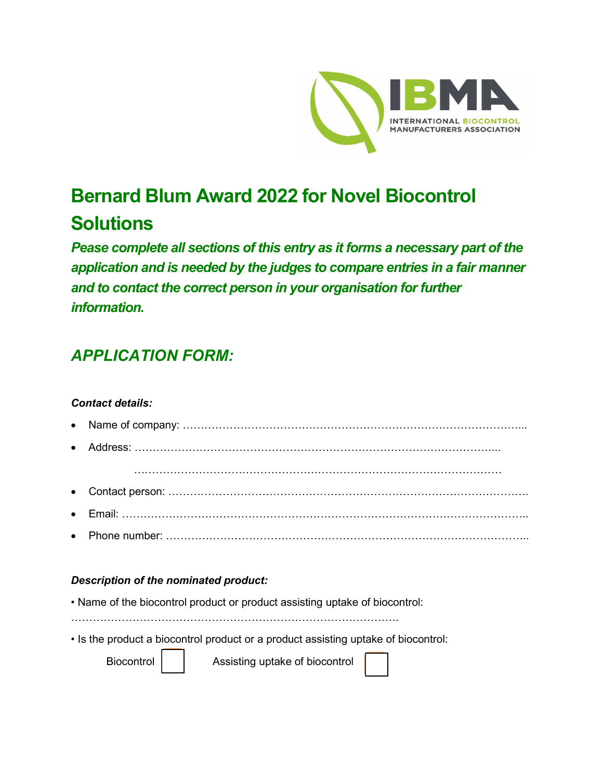

## **Bernard Blum Award 2022 for Novel Biocontrol Solutions**

*Pease complete all sections of this entry as it forms a necessary part of the application and is needed by the judges to compare entries in a fair manner and to contact the correct person in your organisation for further information.* 

## *APPLICATION FORM:*

## *Contact details:*

• Name of company: …………………………………………………………………………………... • Address: ………………………………………………………………………………………... ………………………………………………………………………………………… • Contact person: ………………………………………………………………………………………. • Email: ………………………………………………………………………………………………….. • Phone number: ………………………………………………………………………………………..

## *Description of the nominated product:*

- Name of the biocontrol product or product assisting uptake of biocontrol:
- ……………………………………………………………………………….
- Is the product a biocontrol product or a product assisting uptake of biocontrol:

Biocontrol | | Assisting uptake of biocontrol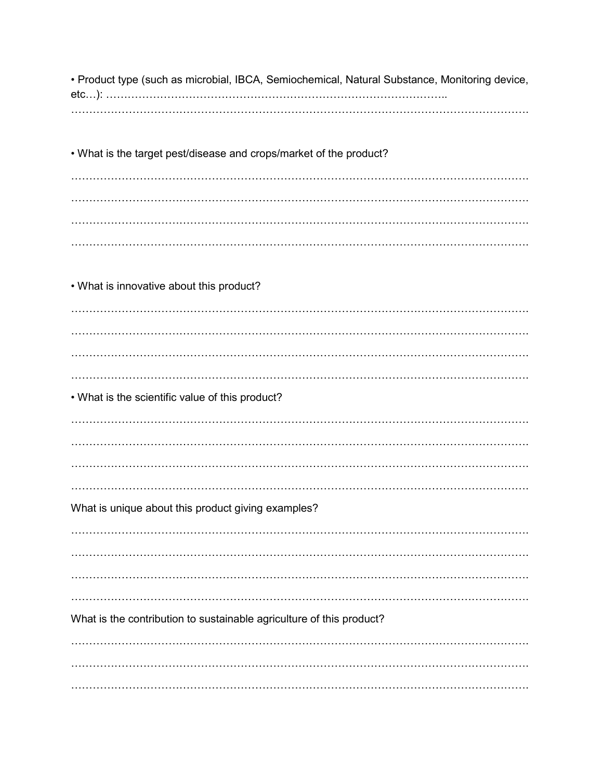• Product type (such as microbial, IBCA, Semiochemical, Natural Substance, Monitoring device, 

. What is the target pest/disease and crops/market of the product?

• What is innovative about this product? . What is the scientific value of this product? What is unique about this product giving examples? What is the contribution to sustainable agriculture of this product?